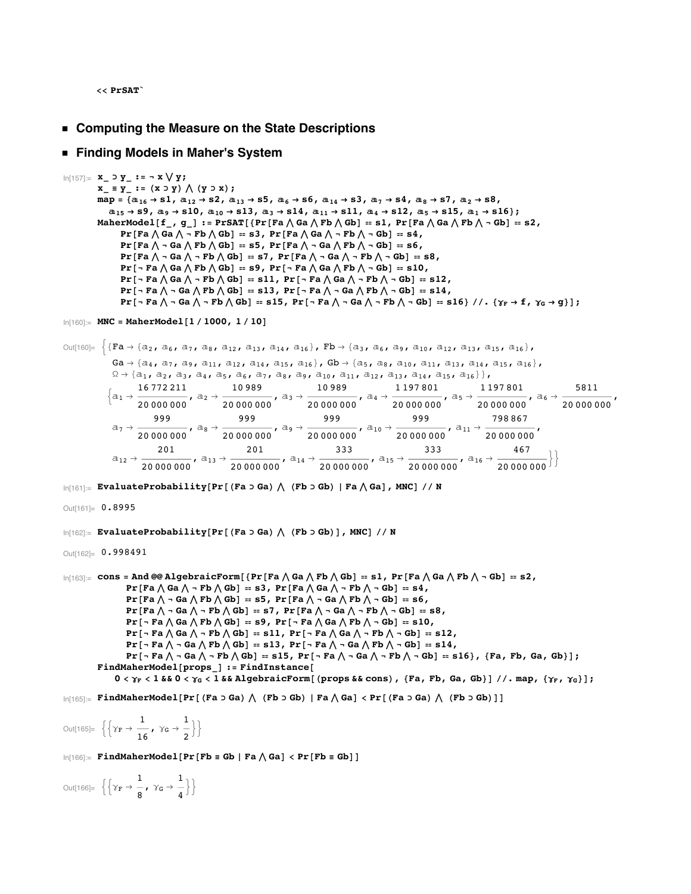**<< PrSAT`**

**ü Computing the Measure on the State Descriptions**

## **ü Finding Models in Maher's System**

```
In[157]:= x_ ⊃ y_ := Ÿ x Í y;
                x \mathbf{y} = \mathbf{y} + \mathbf{y} = \mathbf{y} + \mathbf{y} = \mathbf{y} + \mathbf{y} = \mathbf{y} + \mathbf{y} = \mathbf{y} + \mathbf{y} = \mathbf{y} + \mathbf{y} = \mathbf{y} + \mathbf{y} = \mathbf{y} + \mathbf{y} = \mathbf{y} + \mathbf{y} = \mathbf{y} + \mathbf{y} = \mathbf{y} + \mathbf{y} = \mathbf{y} + \mathbf{y} = \mathbf{y} + \mathbf{y} = \mathbf{y} + \mathbf{y} = \mathbf{y} + \mathbf{y}map = \{a_{16} \rightarrow s1, a_{12} \rightarrow s2, a_{13} \rightarrow s5, a_{6} \rightarrow s6, a_{14} \rightarrow s3, a_{7} \rightarrow s4, a_{8} \rightarrow s7, a_{2} \rightarrow s8,\texttt{a}_{15} \rightarrow \texttt{S9} \,, \; \texttt{a}_{9} \rightarrow \texttt{S10} \,, \; \texttt{a}_{10} \rightarrow \texttt{S13} \,, \; \texttt{a}_{3} \rightarrow \texttt{S14} \,, \; \texttt{a}_{11} \rightarrow \texttt{S11} \,, \; \texttt{a}_{4} \rightarrow \texttt{S12} \,, \; \texttt{a}_{5} \rightarrow \texttt{S15} \,, \; \texttt{a}_{1} \rightarrow \texttt{S16} \, \texttt{)}MaherModel[f_, g_] := PrSAT[{Pr[Fa \wedge Ga \wedge Fb \wedge Gb] == s1, Pr[Fa \wedge Ga \wedge Fb \wedge - Gb] == s2,
                            Pr[Fa \wedge Ga \wedge \neg Fb \wedge Gb] = s3, Pr[Fa \wedge Ga \wedge \neg Fb \wedge \neg Gb] = s4,
                            Pr[Fa \wedge - Ga \wedge Fb \wedge Gb] = s5, Pr[Fa \wedge - Ga \wedge Fb \wedge - Gb] = s6,
                            Pr [Fa \wedge - Ga \wedge - Fb \wedge Gb] = s7, Pr [Fa \wedge - Ga \wedge - Fb \wedge - Gb] = s8,
                            Pr[\neg Fa \wedge Ga \wedge Fb \wedge Gb] = s9, Pr[\neg Fa \wedge Ga \wedge Fb \wedge \neg Gb] = s10,
                            Pr [- Fa \wedge Ga \wedge - Fb \wedge Gb] = s11, Pr [- Fa \wedge Ga \wedge - Fb \wedge - Gb] = s12,
                            Pr [- Fa \wedge - Ga \wedge Fb \wedge Gb] = s13, Pr [- Fa \wedge - Ga \wedge Fb \wedge - Gb] = s14,
                            \mathtt{Pr}\left[\begin{smallmatrix} - & \mathbf{F}\mathbf{a} \end{smallmatrix}\right\vert \begin{smallmatrix} - & \mathbf{G}\mathbf{a} \end{smallmatrix}\right\vert \begin{smallmatrix} - & \mathbf{F}\mathbf{b} \end{smallmatrix} \begin{smallmatrix} - & \mathbf{G}\mathbf{b} \end{smallmatrix} \begin{smallmatrix} - & \mathbf{G}\mathbf{a} \end{smallmatrix} \begin{smallmatrix} - & \mathbf{G}\mathbf{a} \end{smallmatrix} \begin{smallmatrix} - & \mathbf{G}\mathbf{a} \end{smallmatrix} \begin{smallmatrix} - & \mathbf{G}\mathbf{b} \end{smallmatrix} \begin{smallmatrix} -ln[160] := MNC = MaherModel<sup>[1</sup> / 1000, 1 / 10<sup>]</sup>
Out[160]= \{Fa \rightarrow \{a_2, a_6, a_7, a_8, a_{12}, a_{13}, a_{14}, a_{16}\}, Fb \rightarrow \{a_3, a_6, a_9, a_{10}, a_{12}, a_{13}, a_{15}, a_{16}\},Ga \rightarrow \{a_4, a_7, a_9, a_{11}, a_{12}, a_{14}, a_{15}, a_{16}\}, gb \rightarrow \{a_5, a_8, a_{10}, a_{11}, a_{13}, a_{14}, a_{15}, a_{16}\},\Omega \to \{a_1, a_2, a_3, a_4, a_5, a_6, a_7, a_8, a_9, a_{10}, a_{11}, a_{12}, a_{13}, a_{14}, a_{15}, a_{16}\}\},\left\{a_1 \rightarrow \frac{16\,772\,211}{20\,000\,000}, a_2 \rightarrow \frac{10\,989}{20\,000\,000}, a_3 \rightarrow \frac{10\,989}{20\,000\,000}, a_4 \rightarrow \frac{1\,197\,801}{20\,000\,000}, a_5 \rightarrow \frac{1\,197\,801}{20\,000\,000}, a_6 \rightarrow \frac{5811}{20\,000\,000}\frak{a}_7 \rightarrow \frac{\frak{g} \frak{g} \frak{g}}{20\ 000\ 000}, \frak{a}_8 \rightarrow \frac{\frak{g} \frak{g} \frak{g}}{20\ 000\ 000}, \frak{a}_9 \rightarrow \frac{\frak{g} \frak{g} \frak{g}}{20\ 000\ 000}, \frak{a}_{10} \rightarrow \frac{\frak{g} \frak{g} \frak{g}}{20\ 000\ 000}, \frak{a}_{11} \rightarrow \frac{798\ 867}{20\ 000\mathtt{[a_{12}\rightarrow\frac{201}{20\,000\,000}},\ \mathtt{[a_{13}\rightarrow\frac{201}{20\,000\,000}},\ \mathtt{[a_{14}\rightarrow\frac{333}{20\,000\,000}},\ \mathtt{[a_{15}\rightarrow\frac{333}{20\,000\,000}},\ \mathtt{[a_{16}\rightarrow\frac{467}{20\,000\,000}}]\Big\}\ln[161]: EvaluateProbability[Pr[(Fa o Ga) \bigwedge (Fb o Gb) | Fa \bigwedge Ga], MNC] // N
Out[161]= 0.8995
In[162]: EvaluateProbability[Pr[(Fa > Ga) \ (Fb > Gb) ], MNC] // N
Out[162]= 0.998491
\ln[163]: cons = And @@ AlgebraicForm [{Pr [Fa \bigwedge Ga \bigwedge Fb \bigwedge Gb] == s1, Pr [Fa \bigwedge Ga \bigwedge Fb \bigwedge - Gb] == s2,
                               Pr [Fa \wedge Ga \wedge - Fb \wedge Gb] = s3, Pr [Fa \wedge Ga \wedge - Fb \wedge - Gb] = s4,
                               Pr [Fa \wedge - Ga \wedge Fb \wedge Gb] = s5, Pr [Fa \wedge - Ga \wedge Fb \wedge - Gb] = s6,
                               Pr[Fa \wedge \neg Ga \wedge \neg Fb \wedge Gb] = s7, Pr[Fa \wedge \neg Ga \wedge \neg Fb \wedge \neg Gb] = s8,
                               Pr [- Fa \wedge Ga \wedge Fb \wedge Gb] = s9, Pr [- Fa \wedge Ga \wedge Fb \wedge - Gb] = s10,
                               Pr [¬Fa\wedgeGa\wedge ¬Fb\wedgeGb] = s11, Pr [¬Fa\wedgeGa\wedge ¬Fb\wedge ¬Gb] = s12,
                               \mathtt{Pr}\left[\;\text{-}\texttt{Fa}\;\text{\textbackslash}\; \texttt{-}\texttt{Ga}\;\text{\textbackslash}\; \texttt{Fb}\;\text{\textbackslash}\; \texttt{Gb}\right]\; \texttt{::}\; \mathtt{s13}\,,\; \mathtt{Pr}\left[\;\text{-}\texttt{Fa}\;\text{\textbackslash}\; \text{-}\texttt{Ga}\;\text{\textbackslash}\; \texttt{Fb}\;\text{\textbackslash}\; \text{-}\texttt{Gb}\right]\; \texttt{::}\; \mathtt{s14}\,,\mathtt{Pr}\left[\;\text{-}\ \mathtt{Fa}\ \text{\textbackslash}\ \text{-}\ \mathtt{Ga}\ \text{\textbackslash}\ \text{-}\ \mathtt{Fb}\ \text{\textbackslash}\ \mathtt{Gb}\right]\; \text{:=}\; \mathtt{s15}\,,\ \mathtt{Pr}\left[\;\text{-}\ \mathtt{Fa}\ \text{\textbackslash}\ \text{-}\ \mathtt{Ga}\ \text{\textbackslash}\ \text{-}\ \mathtt{Fb}\ \text{\textbackslash}\ \text{-}\ \mathtt{Gb}\right]\; \text{:=}\; \mathtt{s16}\right\rbrace\,,\; \{\mathtt{Fa}\,,\ \mathtt{Fb}\,,\ \mathtt{Ga}\,,\ \mathtt{Gb}\}\, \text{]} \,FindMaherModel[props := FindInstance[0 < \gamma_F < 1 & & 0 < \gamma_G < 1 & & AlgebraicForm [(props & & cons), {Fa, Fb, Ga, Gb} ] //. map, {\gamma_F, \gamma_G} ];
\ln[165] = FindMaherModel[Pr[(Fa o Ga) \bigwedge (Fb o Gb) | Fa \bigwedge Ga] < Pr[(Fa o Ga) \bigwedge (Fb o Gb)]]
 Out[165]= \left\{ \left\{ \gamma_{\mathbf{F}} \rightarrow \frac{1}{16} \right\} , \gamma_{\mathbf{G}} \rightarrow \frac{1}{2} \right\}\ln[166] := FindMaherModel [Pr [Fb = Gb | Fa \wedge Ga] < Pr [Fb = Gb] ]
```
Out[166]=  $\left\{ \left\{ \gamma_{\mathbf{F}} \rightarrow \frac{1}{8}, \ \gamma_{\mathsf{G}} \rightarrow \frac{1}{4} \right\} \right\}$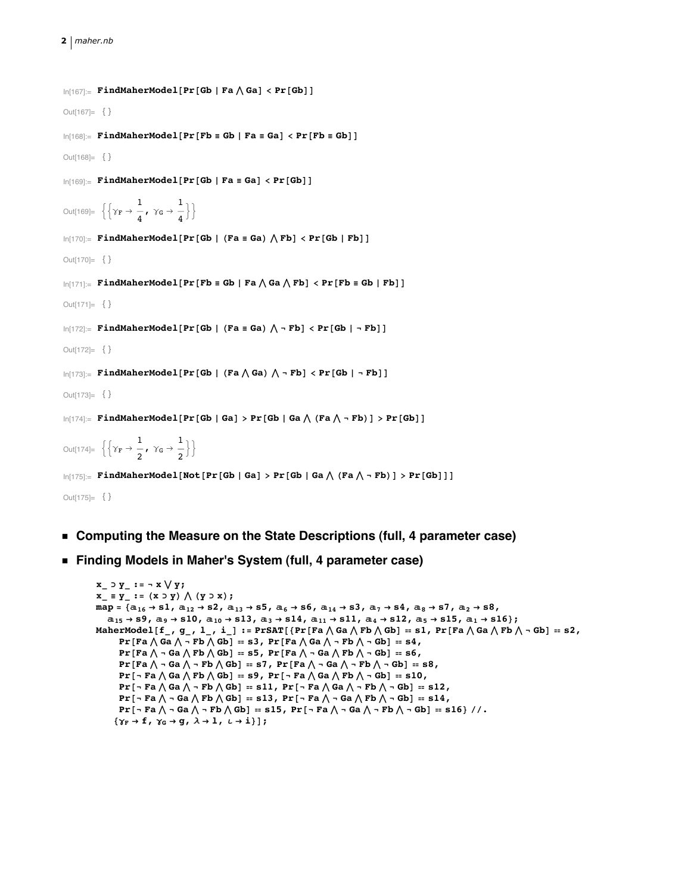## **2** *maher.nb*

```
In[167]:= FindMaherModel [Pr [Gb | Fa \wedge Ga] < Pr [Gb] ]
Out[167]=\{ \}\ln[168] := FindMaherModel [Pr [Fb = Gb | Fa = Ga] < Pr [Fb = Gb] ]
Out[168]=\{\}\ln[169] := \textbf{FindMaherModel}[\textbf{Pr}[\textbf{Gb} \mid \textbf{Fa} \equiv \textbf{Ga}] \prec \textbf{Pr}[\textbf{Gb}]]Out[169]= \left\{ \left\{ \gamma_{\mathbf{F}} \rightarrow \frac{1}{4}, \ \gamma_{\mathsf{G}} \rightarrow \frac{1}{4} \right\} \right\}\ln[170] := FindMaherModel [Pr [Gb | (Fa = Ga) \wedge Fb] < Pr [Gb | Fb] ]
Out[170]= \{ \}\ln[171] = FindMaherModel[Pr[Fb = Gb | Fa \wedge Ga \wedge Fb] < Pr[Fb = Gb | Fb]]
Out[171]= \{ \}\ln[172]:= FindMaherModel[Pr[Gb | (Fa = Ga) \Lambda - Fb] < Pr[Gb | - Fb]]
Out[172] = \{ \}\ln[173]: FindMaherModel[Pr[Gb | (Fa \wedge Ga) \wedge - Fb] < Pr[Gb | - Fb]]
Out[173]= \{ \}\ln[174] = FindMaherModel[Pr[Gb | Ga] > Pr[Gb | Ga \wedge (Fa \wedge \neg Fb)] > Pr[Gb]]
Out[174]= \left\{ \left\{ \gamma_{\mathbf{F}} \rightarrow \frac{1}{2}, \ \gamma_{\mathsf{G}} \rightarrow \frac{1}{2} \right\} \right\}\ln[175] := \texttt{FindMaherModel}[\texttt{Not}[\texttt{Pr}[\texttt{Gb} \mid \texttt{Ga}] > \texttt{Pr}[\texttt{Gb} \mid \texttt{Ga} \bigwedge (\texttt{Fa} \bigwedge \neg \texttt{Fb})] > \texttt{Pr}[\texttt{Gb}] \ ]
```
Out $[175]=$   $\{ \}$ 

- **ü Computing the Measure on the State Descriptions (full, 4 parameter case)**
- **ü Finding Models in Maher's System (full, 4 parameter case)**

```
x_ ⊃ y_ := Ÿ x Í y;
x \mathbf{y} = \mathbf{y} - \mathbf{i} = (\mathbf{x} \circ \mathbf{y}) \wedge (\mathbf{y} \circ \mathbf{x});
\texttt{map} = \{ \texttt{a}_{16} \rightarrow \texttt{s1, a}_{12} \rightarrow \texttt{s2, a}_{13} \rightarrow \texttt{s5, a}_{6} \rightarrow \texttt{s6, a}_{14} \rightarrow \texttt{s3, a}_{7} \rightarrow \texttt{s4, a}_{8} \rightarrow \texttt{s7, a}_{2} \rightarrow \texttt{s8, a}_{9} \}a_{15} \rightarrow s9, a_9 \rightarrow s10, a_{10} \rightarrow s13, a_3 \rightarrow s14, a_{11} \rightarrow s11, a_4 \rightarrow s12, a_5 \rightarrow s15, a_1 \rightarrow s16};
MaherModel[f<sub>_</sub>, g<sub>_</sub>, l_, i_] := PrSAT[{Pr[Fa \wedge Ga \wedge Fb \wedge Gb] == s1, Pr[Fa \wedge Ga \wedge Fb \wedge - Gb] == s2,
          Pr[Fa \wedge Ga \wedge \neg Fb \wedge Gb] = s3, Pr[Fa \wedge Ga \wedge \neg Fb \wedge \neg Gb] = s4,
          Pr[Fa \wedge \neg Ga \wedge Fb \wedge Gb] = s5, Pr[Fa \wedge \neg Ga \wedge Fb \wedge \neg Gb] = s6,
          Pr[Fa \wedge - Ga \wedge -Fb \wedge Gb] = s7, Pr[Fa \wedge -Ga \wedge -Fb \wedge -Gb] = s8,
          Pr [- Fa \wedge Ga \wedge Fb \wedge Gb] = s9, Pr [- Fa \wedge Ga \wedge Fb \wedge - Gb] = s10,
          Pr [- Fa \wedge Ga \wedge - Fb \wedge Gb] = s11, Pr [- Fa \wedge Ga \wedge - Fb \wedge - Gb] = s12,
          Pr [- Fa \wedge - Ga \wedge Fb \wedge Gb] = s13, Pr [- Fa \wedge - Ga \wedge Fb \wedge - Gb] = s14,
          \mathtt{Pr}\left[\;\text{-}\texttt{Fa}\;\text{\textbackslash}\; \text{-}\texttt{Ga}\;\text{\textbackslash}\; \text{-}\texttt{Fb}\;\text{\textbackslash}\; \texttt{Gb}\right]\; \text{= s15,}\; \mathtt{Pr}\left[\;\text{-}\texttt{Fa}\;\text{\textbackslash}\; \text{-}\texttt{Ga}\;\text{\textbackslash}\; \text{-}\texttt{Fb}\;\text{\textbackslash}\; \text{-}\texttt{Gb}\right]\; \text{= s16} \; \text{/}\; \text{/}.{\gamma_F \rightarrow f, \gamma_G \rightarrow g, \lambda \rightarrow 1, \iota \rightarrow i};
```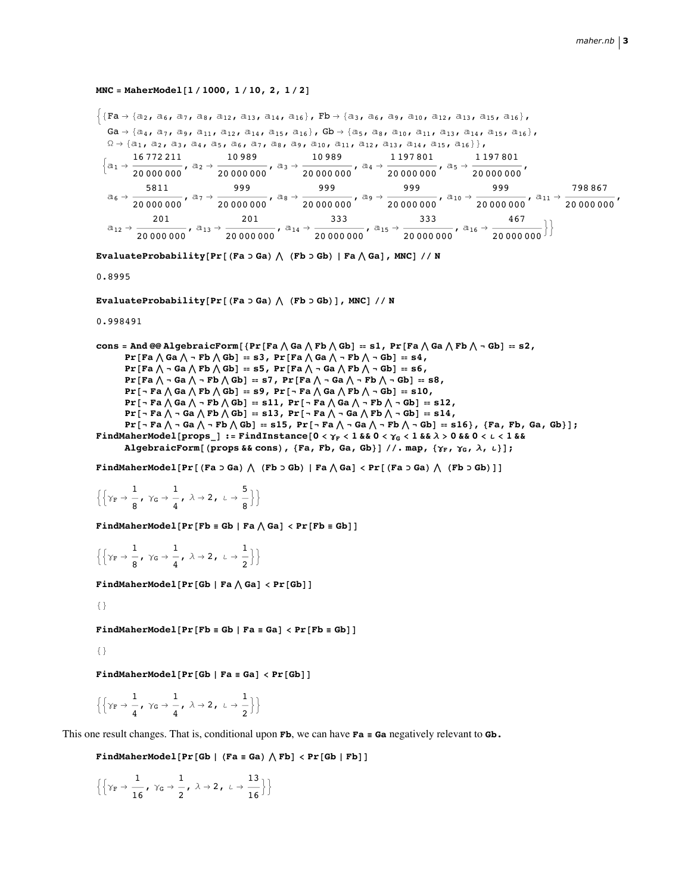## MNC = MaherModel[1/1000, 1/10, 2, 1/2]

 $\{Fa \rightarrow \{a_2, a_6, a_7, a_8, a_{12}, a_{13}, a_{14}, a_{16}\}, \nFb \rightarrow \{a_3, a_6, a_9, a_{10}, a_{12}, a_{13}, a_{15}, a_{16}\},\$  $Ga \rightarrow \{a_4, a_7, a_9, a_{11}, a_{12}, a_{14}, a_{15}, a_{16}\},$   $gb \rightarrow \{a_5, a_8, a_{10}, a_{11}, a_{13}, a_{14}, a_{15}, a_{16}\},$  $\Omega \rightarrow \{a_1, a_2, a_3, a_4, a_5, a_6, a_7, a_8, a_9, a_{10}, a_{11}, a_{12}, a_{13}, a_{14}, a_{15}, a_{16}\}\},$  $\left\{\mathtt{a}_1\rightarrow \frac{16\,772\,211}{20\,000\,000},\;\mathbb{a}_2\rightarrow \frac{10\,989}{20\,000\,000},\;\mathbb{a}_3\rightarrow \frac{10\,989}{20\,000\,000},\;\mathbb{a}_4\rightarrow \frac{1\,197\,801}{20\,000\,000},\;\mathbb{a}_5\rightarrow \frac{1\,197\,801}{20\,000\,000},\;\mathbb{a}_6\rightarrow \frac{1\,197\,801}{20\,000\,0$  $\mathfrak{a}_6 \rightarrow \frac{5811}{20\ 000\ 000},\;\mathfrak{a}_7 \rightarrow \frac{999}{20\ 000\ 000},\;\mathfrak{a}_8 \rightarrow \frac{999}{20\ 000\ 000},\;\mathfrak{a}_9 \rightarrow \frac{999}{20\ 000\ 000},\;\mathfrak{a}_{10} \rightarrow \frac{999}{20\ 000\ 000},\;\mathfrak{a}_{11} \rightarrow \frac{798\ 867}{20\ 000\ 000},$  $\mathtt{a}_{12} \rightarrow \frac{201}{20\,000\,000} \text{\LARGE , } \mathtt{a}_{13} \rightarrow \frac{201}{20\,000\,000} \text{\LARGE , } \mathtt{a}_{14} \rightarrow \frac{333}{20\,000\,000} \text{\LARGE , } \mathtt{a}_{15} \rightarrow \frac{333}{20\,000\,000} \text{\LARGE , } \mathtt{a}_{16} \rightarrow \frac{467}{20\,000\,000} \big\} \Big\}$ 

EvaluateProbability[Pr[(Fa  $\supset$  Ga)  $\bigwedge$  (Fb  $\supset$  Gb) | Fa  $\bigwedge$  Ga], MNC] // N

0.8995

EvaluateProbability[Pr[(Fa  $\supset$  Ga)  $\bigwedge$  (Fb  $\supset$  Gb)], MNC] // N

0.998491

```
cons = And @@ AlgebraicForm [ {Pr [ Fa \wedge Ga \wedge Fb \wedge Gb ] = s1, Pr [ Fa \wedge Ga \wedge Fb \wedge - Gb ] = s2,
        Pr[Fa \wedge Ga \wedge \neg Fb \wedge Gb] = s3, Pr[Fa \wedge Ga \wedge \neg Fb \wedge \neg Gb] = s4,
        Pr[Fa \wedge \neg Ga \wedge Fb \wedge Gb] = s5, Pr[Fa \wedge \neg Ga \wedge Fb \wedge \neg Gb] = s6,
        Pr[Fa \wedge \neg Ga \wedge \neg Fb \wedge Gb] = s7, Pr[Fa \wedge \neg Ga \wedge \neg Fb \wedge \neg Gb] = s8,
        Pr [- Fa \wedge Ga \wedge Fb \wedge Gb] = s9, Pr [- Fa \wedge Ga \wedge Fb \wedge - Gb] = s10,
        Pr [- Fa \wedge Ga \wedge - Fb \wedge Gb] = s11, Pr [- Fa \wedge Ga \wedge - Fb \wedge - Gb] = s12,
        Pr [- Fa \wedge - Ga \wedge Fb \wedge Gb] = s13, Pr [- Fa \wedge - Ga \wedge Fb \wedge - Gb] = s14,
        Pr [ - Fa \wedge - Ga \wedge - Fb \wedge Gb] = s15, Pr [ - Fa \wedge - Ga \wedge - Fb \wedge - Gb] = s16}, {Fa, Fb, Ga, Gb}];
FindMaherModel[props_] := FindInstance[0 < \gamma_F < 1 & & 0 < \gamma_G < 1 & & \lambda > 0 & & 0 < \iota < 1 & &
```
AlgebraicForm[(props & & cons), {Fa, Fb, Ga, Gb}] //. map, { $\gamma_F$ ,  $\gamma_G$ ,  $\lambda$ ,  $\iota$ }];

FindMaherModel[Pr[(Fa  $\circ$  Ga)  $\wedge$  (Fb  $\circ$  Gb) | Fa  $\wedge$  Ga]  $\lt$  Pr[(Fa  $\circ$  Ga)  $\wedge$  (Fb  $\circ$  Gb)]]

 $\left\{ \left\{ \gamma_{F} \rightarrow -\frac{1}{2}, \gamma_{G} \rightarrow -\frac{1}{4}, \lambda \rightarrow 2, \lambda \rightarrow -\frac{5}{2} \right\} \right\}$ 

FindMaherModel[Pr[Fb = Gb | Fa $\wedge$  Ga] < Pr[Fb = Gb]]

 $\left\{\left\{\gamma_{\mathbb{F}} \to \frac{1}{8}, \gamma_{\mathbb{G}} \to \frac{1}{4}, \lambda \to 2, \lambda \to \frac{1}{2}\right\}\right\}$ 

FindMaherModel[Pr[Gb | Fa $\wedge$  Ga] < Pr[Gb]]

 $\{\}$ 

FindMaherModel[Pr[Fb = Gb | Fa = Ga] < Pr[Fb = Gb]]

 $\{\}$ 

FindMaherModel[Pr[Gb | Fa = Ga] <  $Pr[Gb]$ ]

$$
\left\{ \left\{ \gamma_{\mathbb{F}} \to \frac{1}{4}, \ \gamma_{\mathbb{G}} \to \frac{1}{4}, \ \lambda \to 2, \ \iota \to \frac{1}{2} \right\} \right\}
$$

This one result changes. That is, conditional upon  $Fb$ , we can have  $Fa \equiv Ga$  negatively relevant to  $Gb$ .

FindMaherModel[Pr[Gb | (Fa = Ga)  $\wedge$  Fb] < Pr[Gb | Fb]]

$$
\left\{ \left\{ \gamma_{\mathrm{F}} \to \frac{1}{16}, \ \gamma_{\mathrm{G}} \to \frac{1}{2}, \ \lambda \to 2, \ \iota \to \frac{13}{16} \right\} \right\}
$$